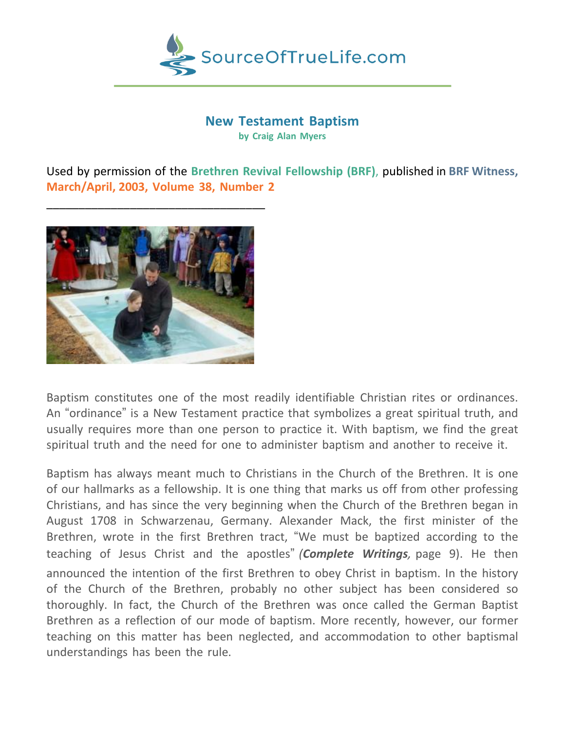

# **New Testament Baptism**

**by Craig Alan Myers**

Used by permission of the **Brethren Revival Fellowship (BRF)**, published in **BRF Witness, March/April, 2003, Volume 38, Number 2**



\_\_\_\_\_\_\_\_\_\_\_\_\_\_\_\_\_\_\_\_\_\_\_\_\_\_\_\_\_\_\_\_\_\_

Baptism constitutes one of the most readily identifiable Christian rites or ordinances. An "ordinance" is a New Testament practice that symbolizes a great spiritual truth, and usually requires more than one person to practice it. With baptism, we find the great spiritual truth and the need for one to administer baptism and another to receive it.

Baptism has always meant much to Christians in the Church of the Brethren. It is one of our hallmarks as a fellowship. It is one thing that marks us off from other professing Christians, and has since the very beginning when the Church of the Brethren began in August 1708 in Schwarzenau, Germany. Alexander Mack, the first minister of the Brethren, wrote in the first Brethren tract, "We must be baptized according to the teaching of Jesus Christ and the apostles" *(Complete Writings,* page 9). He then announced the intention of the first Brethren to obey Christ in baptism. In the history of the Church of the Brethren, probably no other subject has been considered so thoroughly. In fact, the Church of the Brethren was once called the German Baptist Brethren as a reflection of our mode of baptism. More recently, however, our former teaching on this matter has been neglected, and accommodation to other baptismal understandings has been the rule.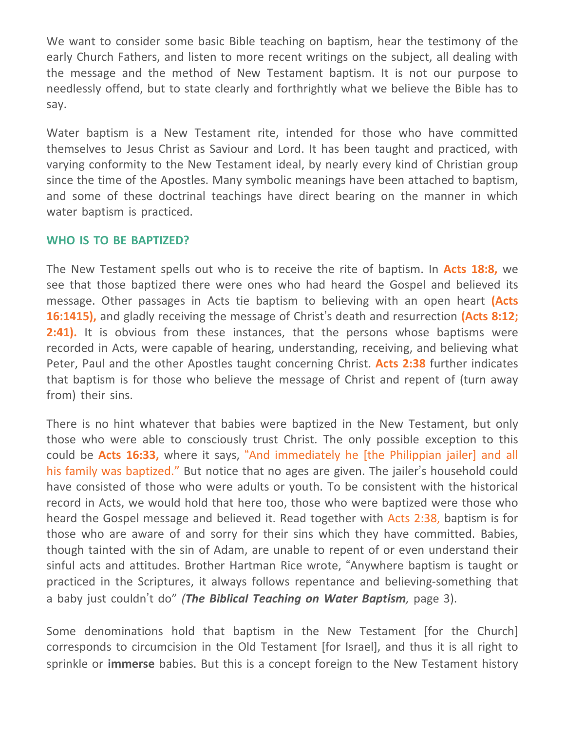We want to consider some basic Bible teaching on baptism, hear the testimony of the early Church Fathers, and listen to more recent writings on the subject, all dealing with the message and the method of New Testament baptism. It is not our purpose to needlessly offend, but to state clearly and forthrightly what we believe the Bible has to say.

Water baptism is a New Testament rite, intended for those who have committed themselves to Jesus Christ as Saviour and Lord. It has been taught and practiced, with varying conformity to the New Testament ideal, by nearly every kind of Christian group since the time of the Apostles. Many symbolic meanings have been attached to baptism, and some of these doctrinal teachings have direct bearing on the manner in which water baptism is practiced.

## **WHO IS TO BE BAPTIZED?**

The New Testament spells out who is to receive the rite of baptism. In **Acts 18:8,** we see that those baptized there were ones who had heard the Gospel and believed its message. Other passages in Acts tie baptism to believing with an open heart **(Acts 16:1415),** and gladly receiving the message of Christ's death and resurrection **(Acts 8:12; 2:41).** It is obvious from these instances, that the persons whose baptisms were recorded in Acts, were capable of hearing, understanding, receiving, and believing what Peter, Paul and the other Apostles taught concerning Christ. **Acts 2:38** further indicates that baptism is for those who believe the message of Christ and repent of (turn away from) their sins.

There is no hint whatever that babies were baptized in the New Testament, but only those who were able to consciously trust Christ. The only possible exception to this could be **Acts 16:33,** where it says, "And immediately he [the Philippian jailer] and all his family was baptized." But notice that no ages are given. The jailer's household could have consisted of those who were adults or youth. To be consistent with the historical record in Acts, we would hold that here too, those who were baptized were those who heard the Gospel message and believed it. Read together with Acts 2:38, baptism is for those who are aware of and sorry for their sins which they have committed. Babies, though tainted with the sin of Adam, are unable to repent of or even understand their sinful acts and attitudes. Brother Hartman Rice wrote, "Anywhere baptism is taught or practiced in the Scriptures, it always follows repentance and believing-something that a baby just couldn't do" *(The Biblical Teaching on Water Baptism,* page 3).

Some denominations hold that baptism in the New Testament [for the Church] corresponds to circumcision in the Old Testament [for Israel], and thus it is all right to sprinkle or **immerse** babies. But this is a concept foreign to the New Testament history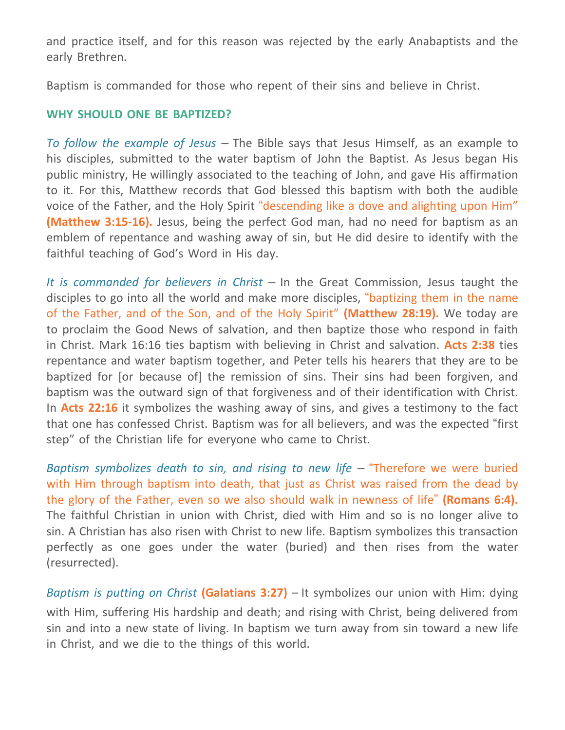and practice itself, and for this reason was rejected by the early Anabaptists and the early Brethren.

Baptism is commanded for those who repent of their sins and believe in Christ.

## **WHY SHOULD ONE BE BAPTIZED?**

*To follow the example of Jesus* – The Bible says that Jesus Himself, as an example to his disciples, submitted to the water baptism of John the Baptist. As Jesus began His public ministry, He willingly associated to the teaching of John, and gave His affirmation to it. For this, Matthew records that God blessed this baptism with both the audible voice of the Father, and the Holy Spirit "descending like a dove and alighting upon Him" **(Matthew 3:15-16).** Jesus, being the perfect God man, had no need for baptism as an emblem of repentance and washing away of sin, but He did desire to identify with the faithful teaching of God's Word in His day.

*It is commanded for believers in Christ* – In the Great Commission, Jesus taught the disciples to go into all the world and make more disciples, "baptizing them in the name of the Father, and of the Son, and of the Holy Spirit" **(Matthew 28:19).** We today are to proclaim the Good News of salvation, and then baptize those who respond in faith in Christ. Mark 16:16 ties baptism with believing in Christ and salvation. **Acts 2:38** ties repentance and water baptism together, and Peter tells his hearers that they are to be baptized for [or because of] the remission of sins. Their sins had been forgiven, and baptism was the outward sign of that forgiveness and of their identification with Christ. In **Acts 22:16** it symbolizes the washing away of sins, and gives a testimony to the fact that one has confessed Christ. Baptism was for all believers, and was the expected "first step" of the Christian life for everyone who came to Christ.

*Baptism symbolizes death to sin, and rising to new life* – "Therefore we were buried with Him through baptism into death, that just as Christ was raised from the dead by the glory of the Father, even so we also should walk in newness of life" **(Romans 6:4).** The faithful Christian in union with Christ, died with Him and so is no longer alive to sin. A Christian has also risen with Christ to new life. Baptism symbolizes this transaction perfectly as one goes under the water (buried) and then rises from the water (resurrected).

*Baptism is putting on Christ* **(Galatians 3:27)** – It symbolizes our union with Him: dying with Him, suffering His hardship and death; and rising with Christ, being delivered from sin and into a new state of living. In baptism we turn away from sin toward a new life in Christ, and we die to the things of this world.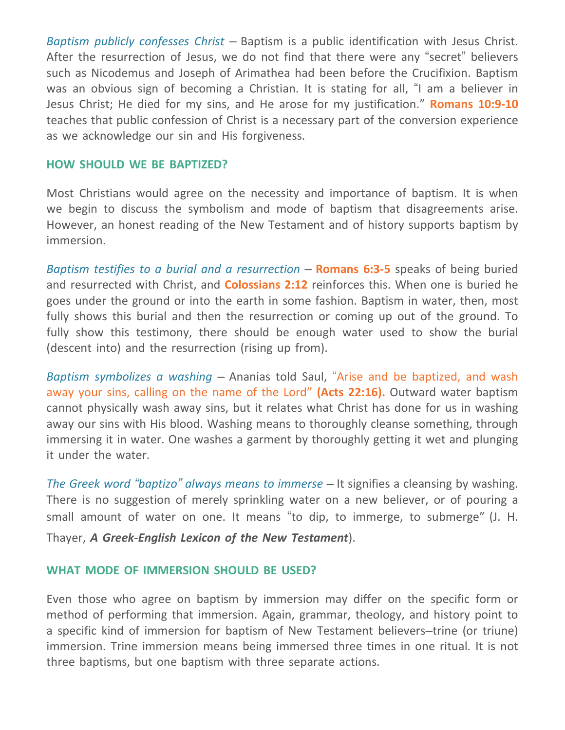*Baptism publicly confesses Christ* – Baptism is a public identification with Jesus Christ. After the resurrection of Jesus, we do not find that there were any "secret" believers such as Nicodemus and Joseph of Arimathea had been before the Crucifixion. Baptism was an obvious sign of becoming a Christian. It is stating for all, "I am a believer in Jesus Christ; He died for my sins, and He arose for my justification." **Romans 10:9-10** teaches that public confession of Christ is a necessary part of the conversion experience as we acknowledge our sin and His forgiveness.

#### **HOW SHOULD WE BE BAPTIZED?**

Most Christians would agree on the necessity and importance of baptism. It is when we begin to discuss the symbolism and mode of baptism that disagreements arise. However, an honest reading of the New Testament and of history supports baptism by immersion.

*Baptism testifies to a burial and a resurrection* – **Romans 6:3-5** speaks of being buried and resurrected with Christ, and **Colossians 2:12** reinforces this. When one is buried he goes under the ground or into the earth in some fashion. Baptism in water, then, most fully shows this burial and then the resurrection or coming up out of the ground. To fully show this testimony, there should be enough water used to show the burial (descent into) and the resurrection (rising up from).

*Baptism symbolizes a washing* – Ananias told Saul, "Arise and be baptized, and wash away your sins, calling on the name of the Lord" **(Acts 22:16).** Outward water baptism cannot physically wash away sins, but it relates what Christ has done for us in washing away our sins with His blood. Washing means to thoroughly cleanse something, through immersing it in water. One washes a garment by thoroughly getting it wet and plunging it under the water.

*The Greek word "baptizo" always means to immerse* – It signifies a cleansing by washing. There is no suggestion of merely sprinkling water on a new believer, or of pouring a small amount of water on one. It means "to dip, to immerge, to submerge" (J. H. Thayer, *A Greek-English Lexicon of the New Testament*).

## **WHAT MODE OF IMMERSION SHOULD BE USED?**

Even those who agree on baptism by immersion may differ on the specific form or method of performing that immersion. Again, grammar, theology, and history point to a specific kind of immersion for baptism of New Testament believers–trine (or triune) immersion. Trine immersion means being immersed three times in one ritual. It is not three baptisms, but one baptism with three separate actions.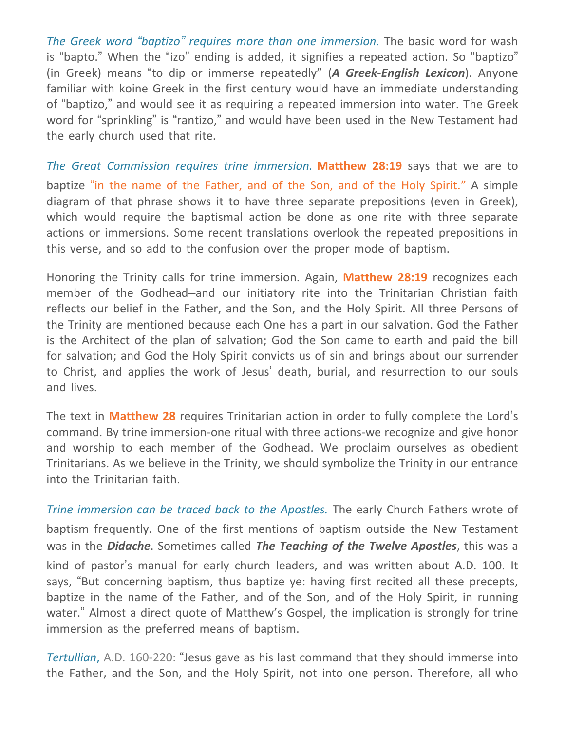*The Greek word "baptizo" requires more than one immersion*. The basic word for wash is "bapto." When the "izo" ending is added, it signifies a repeated action. So "baptizo" (in Greek) means "to dip or immerse repeatedly" (*A Greek-English Lexicon*). Anyone familiar with koine Greek in the first century would have an immediate understanding of "baptizo," and would see it as requiring a repeated immersion into water. The Greek word for "sprinkling" is "rantizo," and would have been used in the New Testament had the early church used that rite.

*The Great Commission requires trine immersion.* **Matthew 28:19** says that we are to baptize "in the name of the Father, and of the Son, and of the Holy Spirit." A simple diagram of that phrase shows it to have three separate prepositions (even in Greek), which would require the baptismal action be done as one rite with three separate actions or immersions. Some recent translations overlook the repeated prepositions in this verse, and so add to the confusion over the proper mode of baptism.

Honoring the Trinity calls for trine immersion. Again, **Matthew 28:19** recognizes each member of the Godhead–and our initiatory rite into the Trinitarian Christian faith reflects our belief in the Father, and the Son, and the Holy Spirit. All three Persons of the Trinity are mentioned because each One has a part in our salvation. God the Father is the Architect of the plan of salvation; God the Son came to earth and paid the bill for salvation; and God the Holy Spirit convicts us of sin and brings about our surrender to Christ, and applies the work of Jesus' death, burial, and resurrection to our souls and lives.

The text in **Matthew 28** requires Trinitarian action in order to fully complete the Lord's command. By trine immersion-one ritual with three actions-we recognize and give honor and worship to each member of the Godhead. We proclaim ourselves as obedient Trinitarians. As we believe in the Trinity, we should symbolize the Trinity in our entrance into the Trinitarian faith.

*Trine immersion can be traced back to the Apostles.* The early Church Fathers wrote of baptism frequently. One of the first mentions of baptism outside the New Testament was in the *Didache*. Sometimes called *The Teaching of the Twelve Apostles*, this was a kind of pastor's manual for early church leaders, and was written about A.D. 100. It says, "But concerning baptism, thus baptize ye: having first recited all these precepts, baptize in the name of the Father, and of the Son, and of the Holy Spirit, in running water." Almost a direct quote of Matthew's Gospel, the implication is strongly for trine immersion as the preferred means of baptism.

*Tertullian*, A.D. 160-220: "Jesus gave as his last command that they should immerse into the Father, and the Son, and the Holy Spirit, not into one person. Therefore, all who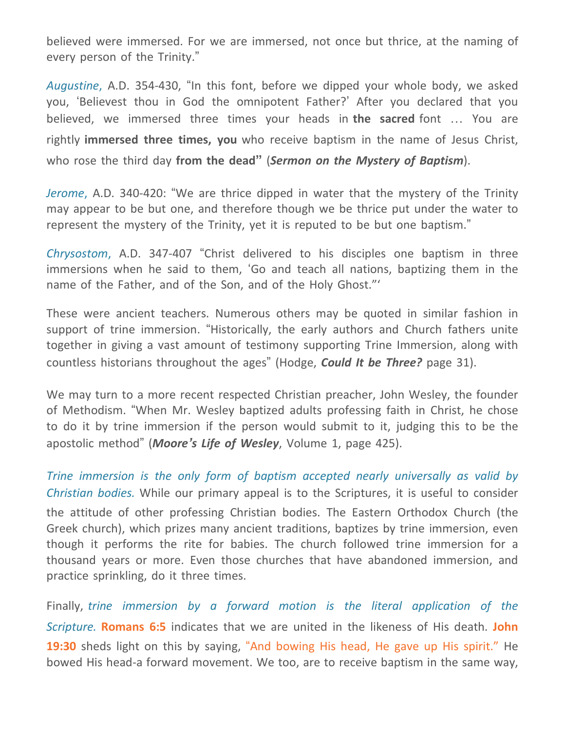believed were immersed. For we are immersed, not once but thrice, at the naming of every person of the Trinity."

*Augustine*, A.D. 354-430, "In this font, before we dipped your whole body, we asked you, 'Believest thou in God the omnipotent Father?' After you declared that you believed, we immersed three times your heads in **the sacred** font … You are rightly **immersed three times, you** who receive baptism in the name of Jesus Christ, who rose the third day **from the dead"** (*Sermon on the Mystery of Baptism*).

*Jerome*, A.D. 340-420: "We are thrice dipped in water that the mystery of the Trinity may appear to be but one, and therefore though we be thrice put under the water to represent the mystery of the Trinity, yet it is reputed to be but one baptism."

*Chrysostom*, A.D. 347-407 "Christ delivered to his disciples one baptism in three immersions when he said to them, 'Go and teach all nations, baptizing them in the name of the Father, and of the Son, and of the Holy Ghost."'

These were ancient teachers. Numerous others may be quoted in similar fashion in support of trine immersion. "Historically, the early authors and Church fathers unite together in giving a vast amount of testimony supporting Trine Immersion, along with countless historians throughout the ages" (Hodge, *Could It be Three?* page 31).

We may turn to a more recent respected Christian preacher, John Wesley, the founder of Methodism. "When Mr. Wesley baptized adults professing faith in Christ, he chose to do it by trine immersion if the person would submit to it, judging this to be the apostolic method" (*Moore's Life of Wesley*, Volume 1, page 425).

*Trine immersion is the only form of baptism accepted nearly universally as valid by Christian bodies.* While our primary appeal is to the Scriptures, it is useful to consider the attitude of other professing Christian bodies. The Eastern Orthodox Church (the Greek church), which prizes many ancient traditions, baptizes by trine immersion, even though it performs the rite for babies. The church followed trine immersion for a thousand years or more. Even those churches that have abandoned immersion, and practice sprinkling, do it three times.

Finally, *trine immersion by a forward motion is the literal application of the Scripture.* **Romans 6:5** indicates that we are united in the likeness of His death. **John** 19:30 sheds light on this by saying, "And bowing His head, He gave up His spirit." He bowed His head-a forward movement. We too, are to receive baptism in the same way,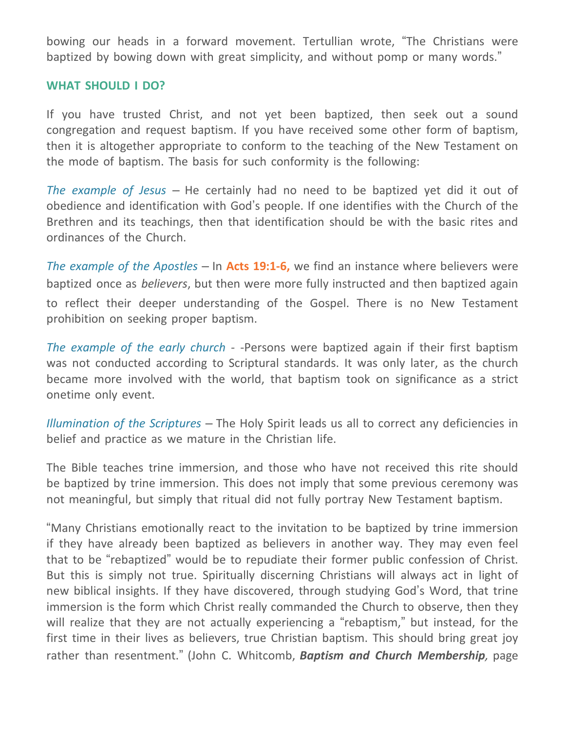bowing our heads in a forward movement. Tertullian wrote, "The Christians were baptized by bowing down with great simplicity, and without pomp or many words."

## **WHAT SHOULD I DO?**

If you have trusted Christ, and not yet been baptized, then seek out a sound congregation and request baptism. If you have received some other form of baptism, then it is altogether appropriate to conform to the teaching of the New Testament on the mode of baptism. The basis for such conformity is the following:

*The example of Jesus* – He certainly had no need to be baptized yet did it out of obedience and identification with God's people. If one identifies with the Church of the Brethren and its teachings, then that identification should be with the basic rites and ordinances of the Church.

*The example of the Apostles* – In **Acts 19:1-6,** we find an instance where believers were baptized once as *believers*, but then were more fully instructed and then baptized again to reflect their deeper understanding of the Gospel. There is no New Testament prohibition on seeking proper baptism.

*The example of the early church -* -Persons were baptized again if their first baptism was not conducted according to Scriptural standards. It was only later, as the church became more involved with the world, that baptism took on significance as a strict onetime only event.

*Illumination of the Scriptures* – The Holy Spirit leads us all to correct any deficiencies in belief and practice as we mature in the Christian life.

The Bible teaches trine immersion, and those who have not received this rite should be baptized by trine immersion. This does not imply that some previous ceremony was not meaningful, but simply that ritual did not fully portray New Testament baptism.

"Many Christians emotionally react to the invitation to be baptized by trine immersion if they have already been baptized as believers in another way. They may even feel that to be "rebaptized" would be to repudiate their former public confession of Christ. But this is simply not true. Spiritually discerning Christians will always act in light of new biblical insights. If they have discovered, through studying God's Word, that trine immersion is the form which Christ really commanded the Church to observe, then they will realize that they are not actually experiencing a "rebaptism," but instead, for the first time in their lives as believers, true Christian baptism. This should bring great joy rather than resentment." (John C. Whitcomb, *Baptism and Church Membership,* page